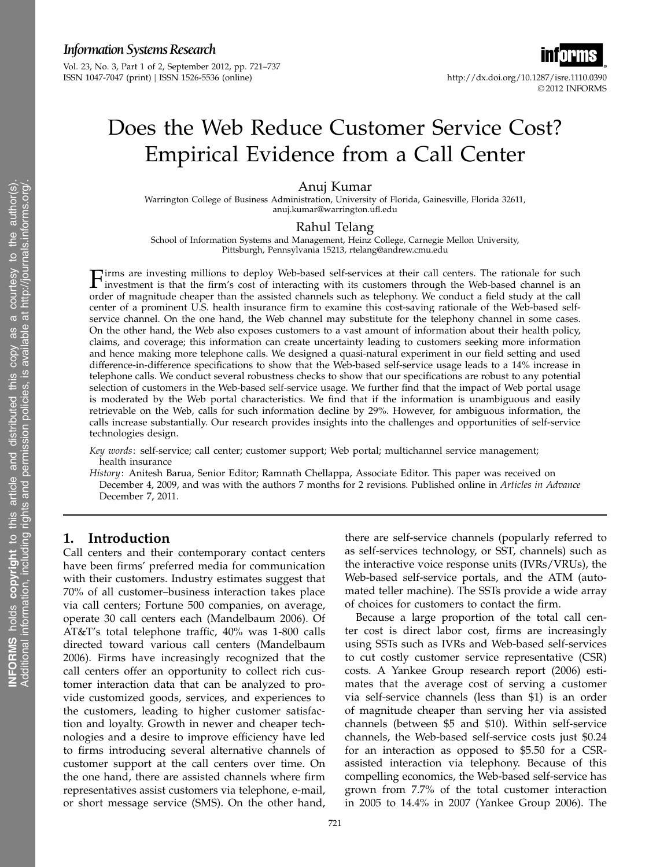# *Information Systems Research*

Vol. 23, No. 3, Part 1 of 2, September 2012, pp. 721–737 ISSN 1047-7047 (print) ISSN 1526-5536 (online) http://dx.doi.org/10.1287/isre.1110.0390

© 2012 INFORMS

# Does the Web Reduce Customer Service Cost? Empirical Evidence from a Call Center

Anuj Kumar

Warrington College of Business Administration, University of Florida, Gainesville, Florida 32611, anuj.kumar@warrington.ufl.edu

## Rahul Telang

School of Information Systems and Management, Heinz College, Carnegie Mellon University, Pittsburgh, Pennsylvania 15213, rtelang@andrew.cmu.edu

Firms are investing millions to deploy Web-based self-services at their call centers. The rationale for such<br>investment is that the firm's cost of interacting with its customers through the Web-based channel is an<br>adverse investment is that the firm's cost of interacting with its customers through the Web-based channel is an order of magnitude cheaper than the assisted channels such as telephony. We conduct a field study at the call center of a prominent U.S. health insurance firm to examine this cost-saving rationale of the Web-based selfservice channel. On the one hand, the Web channel may substitute for the telephony channel in some cases. On the other hand, the Web also exposes customers to a vast amount of information about their health policy, claims, and coverage; this information can create uncertainty leading to customers seeking more information and hence making more telephone calls. We designed a quasi-natural experiment in our field setting and used difference-in-difference specifications to show that the Web-based self-service usage leads to a 14% increase in telephone calls. We conduct several robustness checks to show that our specifications are robust to any potential selection of customers in the Web-based self-service usage. We further find that the impact of Web portal usage is moderated by the Web portal characteristics. We find that if the information is unambiguous and easily retrievable on the Web, calls for such information decline by 29%. However, for ambiguous information, the calls increase substantially. Our research provides insights into the challenges and opportunities of self-service technologies design.

Key words: self-service; call center; customer support; Web portal; multichannel service management; health insurance

History: Anitesh Barua, Senior Editor; Ramnath Chellappa, Associate Editor. This paper was received on December 4, 2009, and was with the authors 7 months for 2 revisions. Published online in Articles in Advance December 7, 2011.

# 1. Introduction

Call centers and their contemporary contact centers have been firms' preferred media for communication with their customers. Industry estimates suggest that 70% of all customer–business interaction takes place via call centers; Fortune 500 companies, on average, operate 30 call centers each (Mandelbaum 2006). Of AT&T's total telephone traffic, 40% was 1-800 calls directed toward various call centers (Mandelbaum 2006). Firms have increasingly recognized that the call centers offer an opportunity to collect rich customer interaction data that can be analyzed to provide customized goods, services, and experiences to the customers, leading to higher customer satisfaction and loyalty. Growth in newer and cheaper technologies and a desire to improve efficiency have led to firms introducing several alternative channels of customer support at the call centers over time. On the one hand, there are assisted channels where firm representatives assist customers via telephone, e-mail, or short message service (SMS). On the other hand,

there are self-service channels (popularly referred to as self-services technology, or SST, channels) such as the interactive voice response units (IVRs/VRUs), the Web-based self-service portals, and the ATM (automated teller machine). The SSTs provide a wide array of choices for customers to contact the firm.

Because a large proportion of the total call center cost is direct labor cost, firms are increasingly using SSTs such as IVRs and Web-based self-services to cut costly customer service representative (CSR) costs. A Yankee Group research report (2006) estimates that the average cost of serving a customer via self-service channels (less than \$1) is an order of magnitude cheaper than serving her via assisted channels (between \$5 and \$10). Within self-service channels, the Web-based self-service costs just \$0.24 for an interaction as opposed to \$5.50 for a CSRassisted interaction via telephony. Because of this compelling economics, the Web-based self-service has grown from 7.7% of the total customer interaction in 2005 to 14.4% in 2007 (Yankee Group 2006). The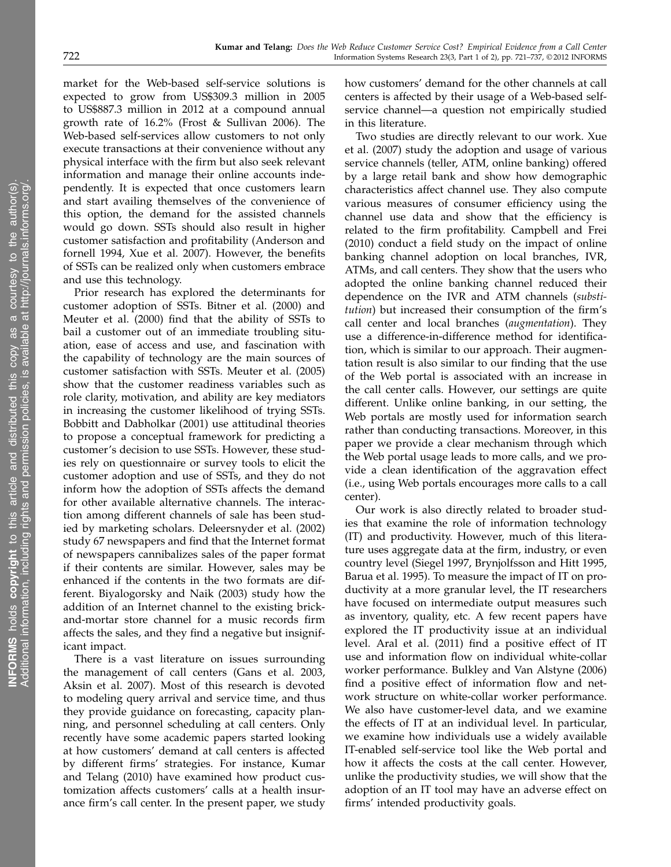market for the Web-based self-service solutions is expected to grow from US\$309.3 million in 2005 to US\$887.3 million in 2012 at a compound annual growth rate of 16.2% (Frost & Sullivan 2006). The Web-based self-services allow customers to not only execute transactions at their convenience without any physical interface with the firm but also seek relevant information and manage their online accounts independently. It is expected that once customers learn and start availing themselves of the convenience of this option, the demand for the assisted channels would go down. SSTs should also result in higher customer satisfaction and profitability (Anderson and fornell 1994, Xue et al. 2007). However, the benefits of SSTs can be realized only when customers embrace and use this technology.

Prior research has explored the determinants for customer adoption of SSTs. Bitner et al. (2000) and Meuter et al. (2000) find that the ability of SSTs to bail a customer out of an immediate troubling situation, ease of access and use, and fascination with the capability of technology are the main sources of customer satisfaction with SSTs. Meuter et al. (2005) show that the customer readiness variables such as role clarity, motivation, and ability are key mediators in increasing the customer likelihood of trying SSTs. Bobbitt and Dabholkar (2001) use attitudinal theories to propose a conceptual framework for predicting a customer's decision to use SSTs. However, these studies rely on questionnaire or survey tools to elicit the customer adoption and use of SSTs, and they do not inform how the adoption of SSTs affects the demand for other available alternative channels. The interaction among different channels of sale has been studied by marketing scholars. Deleersnyder et al. (2002) study 67 newspapers and find that the Internet format of newspapers cannibalizes sales of the paper format if their contents are similar. However, sales may be enhanced if the contents in the two formats are different. Biyalogorsky and Naik (2003) study how the addition of an Internet channel to the existing brickand-mortar store channel for a music records firm affects the sales, and they find a negative but insignificant impact.

There is a vast literature on issues surrounding the management of call centers (Gans et al. 2003, Aksin et al. 2007). Most of this research is devoted to modeling query arrival and service time, and thus they provide guidance on forecasting, capacity planning, and personnel scheduling at call centers. Only recently have some academic papers started looking at how customers' demand at call centers is affected by different firms' strategies. For instance, Kumar and Telang (2010) have examined how product customization affects customers' calls at a health insurance firm's call center. In the present paper, we study

how customers' demand for the other channels at call centers is affected by their usage of a Web-based selfservice channel—a question not empirically studied in this literature.

Two studies are directly relevant to our work. Xue et al. (2007) study the adoption and usage of various service channels (teller, ATM, online banking) offered by a large retail bank and show how demographic characteristics affect channel use. They also compute various measures of consumer efficiency using the channel use data and show that the efficiency is related to the firm profitability. Campbell and Frei (2010) conduct a field study on the impact of online banking channel adoption on local branches, IVR, ATMs, and call centers. They show that the users who adopted the online banking channel reduced their dependence on the IVR and ATM channels (substitution) but increased their consumption of the firm's call center and local branches (augmentation). They use a difference-in-difference method for identification, which is similar to our approach. Their augmentation result is also similar to our finding that the use of the Web portal is associated with an increase in the call center calls. However, our settings are quite different. Unlike online banking, in our setting, the Web portals are mostly used for information search rather than conducting transactions. Moreover, in this paper we provide a clear mechanism through which the Web portal usage leads to more calls, and we provide a clean identification of the aggravation effect (i.e., using Web portals encourages more calls to a call center).

Our work is also directly related to broader studies that examine the role of information technology (IT) and productivity. However, much of this literature uses aggregate data at the firm, industry, or even country level (Siegel 1997, Brynjolfsson and Hitt 1995, Barua et al. 1995). To measure the impact of IT on productivity at a more granular level, the IT researchers have focused on intermediate output measures such as inventory, quality, etc. A few recent papers have explored the IT productivity issue at an individual level. Aral et al. (2011) find a positive effect of IT use and information flow on individual white-collar worker performance. Bulkley and Van Alstyne (2006) find a positive effect of information flow and network structure on white-collar worker performance. We also have customer-level data, and we examine the effects of IT at an individual level. In particular, we examine how individuals use a widely available IT-enabled self-service tool like the Web portal and how it affects the costs at the call center. However, unlike the productivity studies, we will show that the adoption of an IT tool may have an adverse effect on firms' intended productivity goals.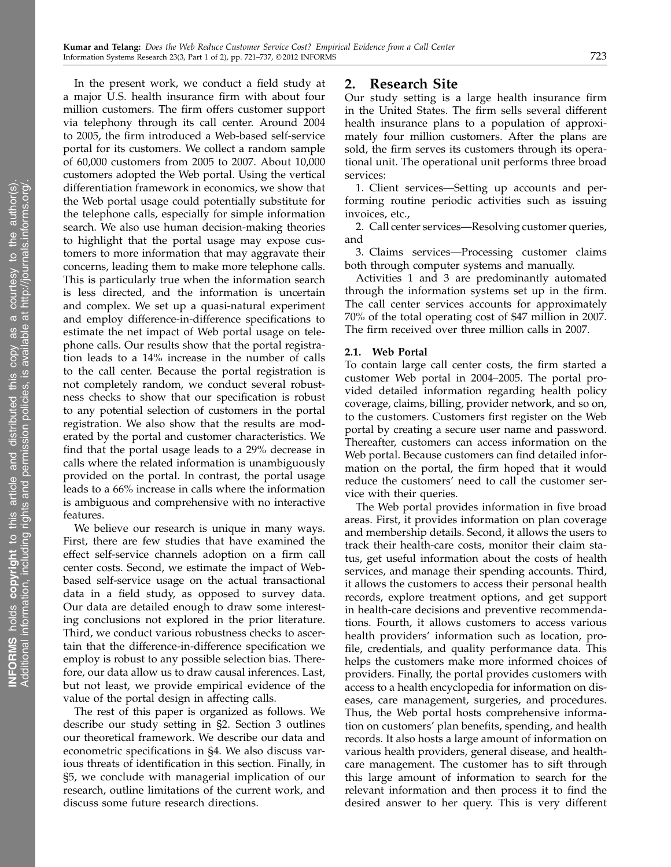In the present work, we conduct a field study at a major U.S. health insurance firm with about four

million customers. The firm offers customer support via telephony through its call center. Around 2004 to 2005, the firm introduced a Web-based self-service portal for its customers. We collect a random sample of 60,000 customers from 2005 to 2007. About 10,000 customers adopted the Web portal. Using the vertical differentiation framework in economics, we show that the Web portal usage could potentially substitute for the telephone calls, especially for simple information search. We also use human decision-making theories to highlight that the portal usage may expose customers to more information that may aggravate their concerns, leading them to make more telephone calls. This is particularly true when the information search is less directed, and the information is uncertain and complex. We set up a quasi-natural experiment and employ difference-in-difference specifications to estimate the net impact of Web portal usage on telephone calls. Our results show that the portal registration leads to a 14% increase in the number of calls to the call center. Because the portal registration is not completely random, we conduct several robustness checks to show that our specification is robust to any potential selection of customers in the portal registration. We also show that the results are moderated by the portal and customer characteristics. We find that the portal usage leads to a 29% decrease in calls where the related information is unambiguously provided on the portal. In contrast, the portal usage leads to a 66% increase in calls where the information is ambiguous and comprehensive with no interactive features.

We believe our research is unique in many ways. First, there are few studies that have examined the effect self-service channels adoption on a firm call center costs. Second, we estimate the impact of Webbased self-service usage on the actual transactional data in a field study, as opposed to survey data. Our data are detailed enough to draw some interesting conclusions not explored in the prior literature. Third, we conduct various robustness checks to ascertain that the difference-in-difference specification we employ is robust to any possible selection bias. Therefore, our data allow us to draw causal inferences. Last, but not least, we provide empirical evidence of the value of the portal design in affecting calls.

The rest of this paper is organized as follows. We describe our study setting in §2. Section 3 outlines our theoretical framework. We describe our data and econometric specifications in §4. We also discuss various threats of identification in this section. Finally, in §5, we conclude with managerial implication of our research, outline limitations of the current work, and discuss some future research directions.

# 2. Research Site

Our study setting is a large health insurance firm in the United States. The firm sells several different health insurance plans to a population of approximately four million customers. After the plans are sold, the firm serves its customers through its operational unit. The operational unit performs three broad services:

1. Client services—Setting up accounts and performing routine periodic activities such as issuing invoices, etc.,

2. Call center services—Resolving customer queries, and

3. Claims services—Processing customer claims both through computer systems and manually.

Activities 1 and 3 are predominantly automated through the information systems set up in the firm. The call center services accounts for approximately 70% of the total operating cost of \$47 million in 2007. The firm received over three million calls in 2007.

## 2.1. Web Portal

To contain large call center costs, the firm started a customer Web portal in 2004–2005. The portal provided detailed information regarding health policy coverage, claims, billing, provider network, and so on, to the customers. Customers first register on the Web portal by creating a secure user name and password. Thereafter, customers can access information on the Web portal. Because customers can find detailed information on the portal, the firm hoped that it would reduce the customers' need to call the customer service with their queries.

The Web portal provides information in five broad areas. First, it provides information on plan coverage and membership details. Second, it allows the users to track their health-care costs, monitor their claim status, get useful information about the costs of health services, and manage their spending accounts. Third, it allows the customers to access their personal health records, explore treatment options, and get support in health-care decisions and preventive recommendations. Fourth, it allows customers to access various health providers' information such as location, profile, credentials, and quality performance data. This helps the customers make more informed choices of providers. Finally, the portal provides customers with access to a health encyclopedia for information on diseases, care management, surgeries, and procedures. Thus, the Web portal hosts comprehensive information on customers' plan benefits, spending, and health records. It also hosts a large amount of information on various health providers, general disease, and healthcare management. The customer has to sift through this large amount of information to search for the relevant information and then process it to find the desired answer to her query. This is very different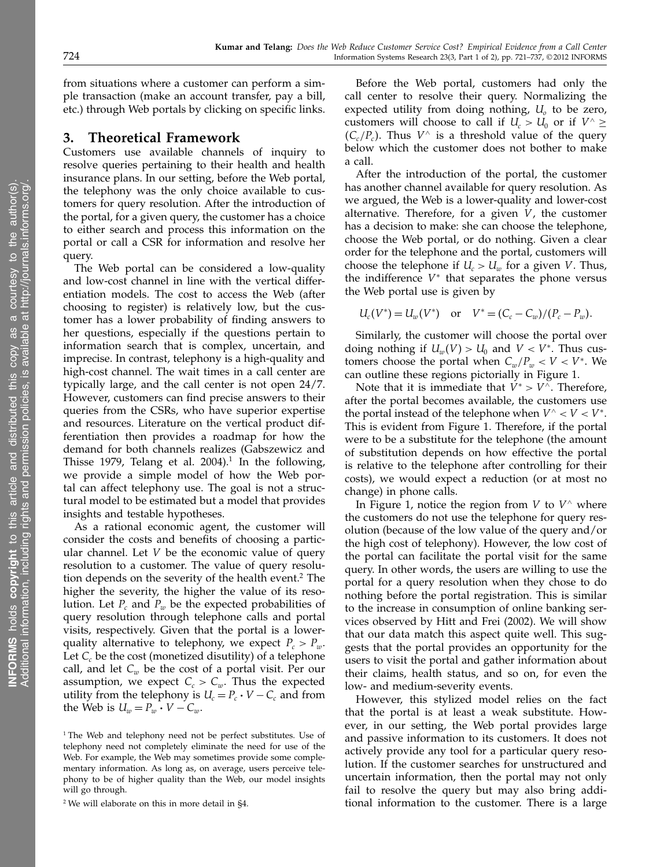from situations where a customer can perform a simple transaction (make an account transfer, pay a bill, etc.) through Web portals by clicking on specific links.

# 3. Theoretical Framework

Customers use available channels of inquiry to resolve queries pertaining to their health and health insurance plans. In our setting, before the Web portal, the telephony was the only choice available to customers for query resolution. After the introduction of the portal, for a given query, the customer has a choice to either search and process this information on the portal or call a CSR for information and resolve her query.

The Web portal can be considered a low-quality and low-cost channel in line with the vertical differentiation models. The cost to access the Web (after choosing to register) is relatively low, but the customer has a lower probability of finding answers to her questions, especially if the questions pertain to information search that is complex, uncertain, and imprecise. In contrast, telephony is a high-quality and high-cost channel. The wait times in a call center are typically large, and the call center is not open 24/7. However, customers can find precise answers to their queries from the CSRs, who have superior expertise and resources. Literature on the vertical product differentiation then provides a roadmap for how the demand for both channels realizes (Gabszewicz and Thisse 1979, Telang et al.  $2004$ ).<sup>1</sup> In the following, we provide a simple model of how the Web portal can affect telephony use. The goal is not a structural model to be estimated but a model that provides insights and testable hypotheses.

As a rational economic agent, the customer will consider the costs and benefits of choosing a particular channel. Let  $V$  be the economic value of query resolution to a customer. The value of query resolution depends on the severity of the health event.<sup>2</sup> The higher the severity, the higher the value of its resolution. Let  $P_c$  and  $P_w$  be the expected probabilities of query resolution through telephone calls and portal visits, respectively. Given that the portal is a lowerquality alternative to telephony, we expect  $P_c > P_w$ . Let  $C_c$  be the cost (monetized disutility) of a telephone call, and let  $C_w$  be the cost of a portal visit. Per our assumption, we expect  $C_c > C_w$ . Thus the expected utility from the telephony is  $U_c = P_c \cdot V - C_c$  and from the Web is  $U_w = P_w \cdot V - C_w$ .

<sup>2</sup> We will elaborate on this in more detail in §4.

Before the Web portal, customers had only the call center to resolve their query. Normalizing the expected utility from doing nothing,  $U_{o}$  to be zero, customers will choose to call if  $U_c > U_0$  or if  $V^{\wedge} \geq$  $(C_c/P_c)$ . Thus  $V^{\wedge}$  is a threshold value of the query below which the customer does not bother to make a call.

After the introduction of the portal, the customer has another channel available for query resolution. As we argued, the Web is a lower-quality and lower-cost alternative. Therefore, for a given  $V$ , the customer has a decision to make: she can choose the telephone, choose the Web portal, or do nothing. Given a clear order for the telephone and the portal, customers will choose the telephone if  $U_c > U_w$  for a given *V*. Thus, the indifference  $V^*$  that separates the phone versus the Web portal use is given by

$$
U_c(V^*) = U_w(V^*)
$$
 or  $V^* = (C_c - C_w)/(P_c - P_w)$ .

Similarly, the customer will choose the portal over doing nothing if  $U_w(V) > U_0$  and  $V < V^*$ . Thus customers choose the portal when  $C_w/P_w < V < V^*$ . We can outline these regions pictorially in Figure 1.

Note that it is immediate that  $V^* > V^*$ . Therefore, after the portal becomes available, the customers use the portal instead of the telephone when  $V^* < V < V^*$ . This is evident from Figure 1. Therefore, if the portal were to be a substitute for the telephone (the amount of substitution depends on how effective the portal is relative to the telephone after controlling for their costs), we would expect a reduction (or at most no change) in phone calls.

In Figure 1, notice the region from  $V$  to  $V^{\wedge}$  where the customers do not use the telephone for query resolution (because of the low value of the query and/or the high cost of telephony). However, the low cost of the portal can facilitate the portal visit for the same query. In other words, the users are willing to use the portal for a query resolution when they chose to do nothing before the portal registration. This is similar to the increase in consumption of online banking services observed by Hitt and Frei (2002). We will show that our data match this aspect quite well. This suggests that the portal provides an opportunity for the users to visit the portal and gather information about their claims, health status, and so on, for even the low- and medium-severity events.

However, this stylized model relies on the fact that the portal is at least a weak substitute. However, in our setting, the Web portal provides large and passive information to its customers. It does not actively provide any tool for a particular query resolution. If the customer searches for unstructured and uncertain information, then the portal may not only fail to resolve the query but may also bring additional information to the customer. There is a large

<sup>&</sup>lt;sup>1</sup> The Web and telephony need not be perfect substitutes. Use of telephony need not completely eliminate the need for use of the Web. For example, the Web may sometimes provide some complementary information. As long as, on average, users perceive telephony to be of higher quality than the Web, our model insights will go through.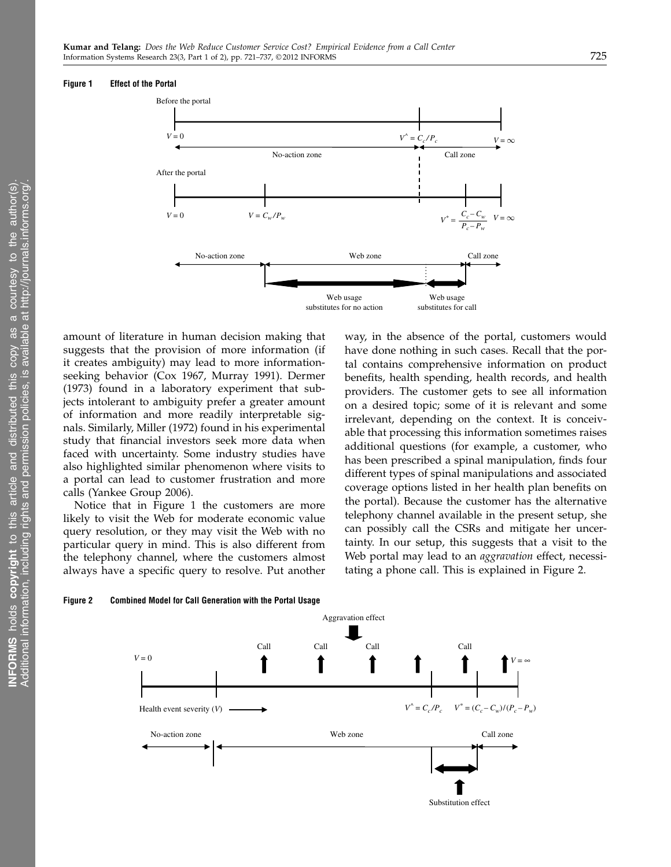Figure 1 Effect of the Portal



amount of literature in human decision making that suggests that the provision of more information (if it creates ambiguity) may lead to more informationseeking behavior (Cox 1967, Murray 1991). Dermer (1973) found in a laboratory experiment that subjects intolerant to ambiguity prefer a greater amount of information and more readily interpretable signals. Similarly, Miller (1972) found in his experimental study that financial investors seek more data when faced with uncertainty. Some industry studies have also highlighted similar phenomenon where visits to a portal can lead to customer frustration and more calls (Yankee Group 2006).

Notice that in Figure 1 the customers are more likely to visit the Web for moderate economic value query resolution, or they may visit the Web with no particular query in mind. This is also different from the telephony channel, where the customers almost always have a specific query to resolve. Put another way, in the absence of the portal, customers would have done nothing in such cases. Recall that the portal contains comprehensive information on product benefits, health spending, health records, and health providers. The customer gets to see all information on a desired topic; some of it is relevant and some irrelevant, depending on the context. It is conceivable that processing this information sometimes raises additional questions (for example, a customer, who has been prescribed a spinal manipulation, finds four different types of spinal manipulations and associated coverage options listed in her health plan benefits on the portal). Because the customer has the alternative telephony channel available in the present setup, she can possibly call the CSRs and mitigate her uncertainty. In our setup, this suggests that a visit to the Web portal may lead to an *aggravation* effect, necessitating a phone call. This is explained in Figure 2.

#### Figure 2 Combined Model for Call Generation with the Portal Usage



Substitution effect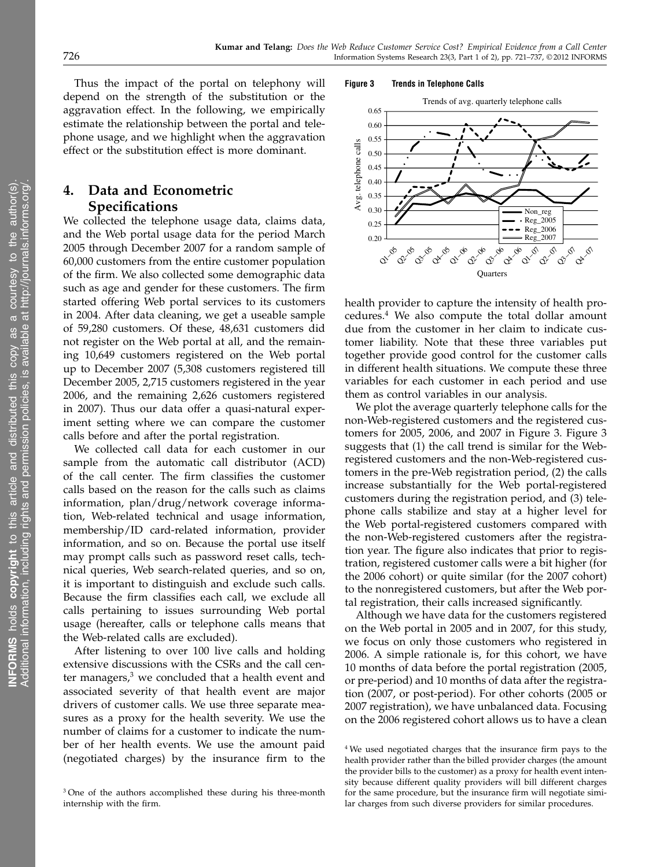Thus the impact of the portal on telephony will depend on the strength of the substitution or the aggravation effect. In the following, we empirically estimate the relationship between the portal and telephone usage, and we highlight when the aggravation effect or the substitution effect is more dominant.

# 4. Data and Econometric Specifications

We collected the telephone usage data, claims data, and the Web portal usage data for the period March 2005 through December 2007 for a random sample of 60,000 customers from the entire customer population of the firm. We also collected some demographic data such as age and gender for these customers. The firm started offering Web portal services to its customers in 2004. After data cleaning, we get a useable sample of 59,280 customers. Of these, 48,631 customers did not register on the Web portal at all, and the remaining 10,649 customers registered on the Web portal up to December 2007 (5,308 customers registered till December 2005, 2,715 customers registered in the year 2006, and the remaining 2,626 customers registered in 2007). Thus our data offer a quasi-natural experiment setting where we can compare the customer calls before and after the portal registration.

We collected call data for each customer in our sample from the automatic call distributor (ACD) of the call center. The firm classifies the customer calls based on the reason for the calls such as claims information, plan/drug/network coverage information, Web-related technical and usage information, membership/ID card-related information, provider information, and so on. Because the portal use itself may prompt calls such as password reset calls, technical queries, Web search-related queries, and so on, it is important to distinguish and exclude such calls. Because the firm classifies each call, we exclude all calls pertaining to issues surrounding Web portal usage (hereafter, calls or telephone calls means that the Web-related calls are excluded).

After listening to over 100 live calls and holding extensive discussions with the CSRs and the call center managers, $3$  we concluded that a health event and associated severity of that health event are major drivers of customer calls. We use three separate measures as a proxy for the health severity. We use the number of claims for a customer to indicate the number of her health events. We use the amount paid (negotiated charges) by the insurance firm to the

#### Figure 3 Trends in Telephone Calls



health provider to capture the intensity of health procedures.<sup>4</sup> We also compute the total dollar amount due from the customer in her claim to indicate customer liability. Note that these three variables put together provide good control for the customer calls in different health situations. We compute these three variables for each customer in each period and use them as control variables in our analysis.

We plot the average quarterly telephone calls for the non-Web-registered customers and the registered customers for 2005, 2006, and 2007 in Figure 3. Figure 3 suggests that (1) the call trend is similar for the Webregistered customers and the non-Web-registered customers in the pre-Web registration period, (2) the calls increase substantially for the Web portal-registered customers during the registration period, and (3) telephone calls stabilize and stay at a higher level for the Web portal-registered customers compared with the non-Web-registered customers after the registration year. The figure also indicates that prior to registration, registered customer calls were a bit higher (for the 2006 cohort) or quite similar (for the 2007 cohort) to the nonregistered customers, but after the Web portal registration, their calls increased significantly.

Although we have data for the customers registered on the Web portal in 2005 and in 2007, for this study, we focus on only those customers who registered in 2006. A simple rationale is, for this cohort, we have 10 months of data before the portal registration (2005, or pre-period) and 10 months of data after the registration (2007, or post-period). For other cohorts (2005 or 2007 registration), we have unbalanced data. Focusing on the 2006 registered cohort allows us to have a clean

<sup>&</sup>lt;sup>3</sup> One of the authors accomplished these during his three-month internship with the firm.

<sup>4</sup> We used negotiated charges that the insurance firm pays to the health provider rather than the billed provider charges (the amount the provider bills to the customer) as a proxy for health event intensity because different quality providers will bill different charges for the same procedure, but the insurance firm will negotiate similar charges from such diverse providers for similar procedures.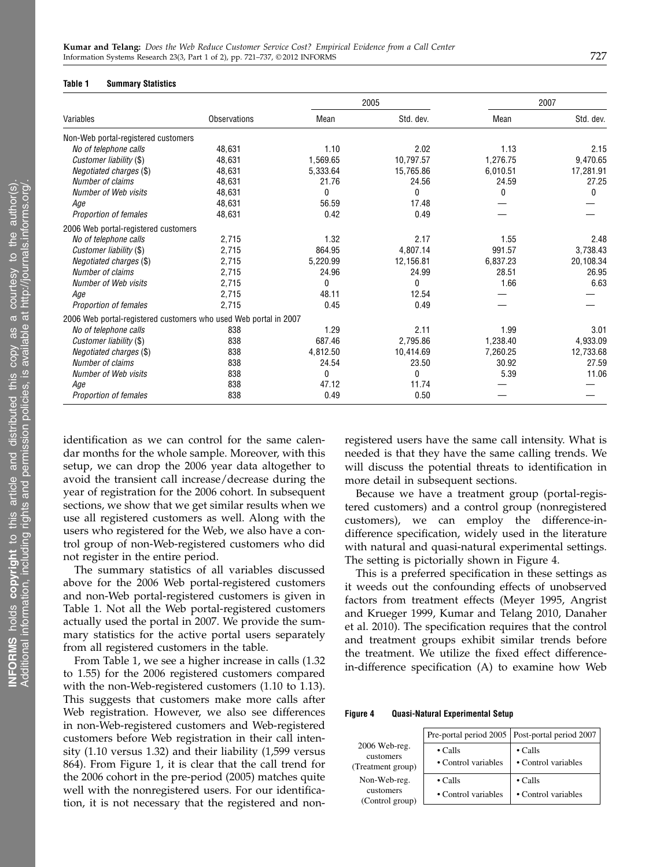#### Table 1 Summary Statistics

|                                                                                                                                                                                |                     |          | 2005                                                                                                            |                        | 2007                                   |
|--------------------------------------------------------------------------------------------------------------------------------------------------------------------------------|---------------------|----------|-----------------------------------------------------------------------------------------------------------------|------------------------|----------------------------------------|
| Variables                                                                                                                                                                      | <b>Observations</b> | Mean     | Std. dev.                                                                                                       | Mean                   | Std. dev.                              |
| Non-Web portal-registered customers                                                                                                                                            |                     |          |                                                                                                                 |                        |                                        |
| No of telephone calls                                                                                                                                                          | 48,631              | 1.10     | 2.02                                                                                                            | 1.13                   | 2.15                                   |
| Customer liability (\$)                                                                                                                                                        | 48,631              | 1,569.65 | 10,797.57                                                                                                       | 1,276.75               | 9,470.65                               |
| Negotiated charges (\$)                                                                                                                                                        | 48,631              | 5,333.64 | 15,765.86                                                                                                       | 6,010.51               | 17,281.91                              |
| Number of claims                                                                                                                                                               | 48,631              | 21.76    | 24.56                                                                                                           | 24.59                  | 27.25                                  |
| Number of Web visits                                                                                                                                                           | 48,631              | 0        | 0                                                                                                               | 0                      | 0                                      |
| Age                                                                                                                                                                            | 48,631              | 56.59    | 17.48                                                                                                           |                        |                                        |
| Proportion of females                                                                                                                                                          | 48,631              | 0.42     | 0.49                                                                                                            |                        |                                        |
| 2006 Web portal-registered customers                                                                                                                                           |                     |          |                                                                                                                 |                        |                                        |
| No of telephone calls                                                                                                                                                          | 2,715               | 1.32     | 2.17                                                                                                            | 1.55                   | 2.48                                   |
| Customer liability (\$)                                                                                                                                                        | 2,715               | 864.95   | 4,807.14                                                                                                        | 991.57                 | 3,738.43                               |
| <i>Negotiated charges</i> (\$)                                                                                                                                                 | 2,715               | 5,220.99 | 12,156.81                                                                                                       | 6,837.23               | 20,108.34                              |
| Number of claims                                                                                                                                                               | 2,715               | 24.96    | 24.99                                                                                                           | 28.51                  | 26.95                                  |
| Number of Web visits                                                                                                                                                           | 2,715               | 0        | 0                                                                                                               | 1.66                   | 6.63                                   |
| Age                                                                                                                                                                            | 2,715               | 48.11    | 12.54                                                                                                           |                        |                                        |
| Proportion of females                                                                                                                                                          | 2,715               | 0.45     | 0.49                                                                                                            |                        |                                        |
| 2006 Web portal-registered customers who used Web portal in 2007                                                                                                               |                     |          |                                                                                                                 |                        |                                        |
| No of telephone calls                                                                                                                                                          | 838                 | 1.29     | 2.11                                                                                                            | 1.99                   | 3.01                                   |
| Customer liability (\$)                                                                                                                                                        | 838                 | 687.46   | 2,795.86                                                                                                        | 1,238.40               | 4,933.09                               |
| Negotiated charges (\$)                                                                                                                                                        | 838                 | 4,812.50 | 10,414.69                                                                                                       | 7,260.25               | 12,733.68                              |
| Number of claims                                                                                                                                                               | 838                 | 24.54    | 23.50                                                                                                           | 30.92                  | 27.59                                  |
| Number of Web visits                                                                                                                                                           | 838                 | 0        | 0                                                                                                               | 5.39                   | 11.06                                  |
| Age                                                                                                                                                                            | 838                 | 47.12    | 11.74                                                                                                           |                        |                                        |
|                                                                                                                                                                                | 838                 | 0.49     | 0.50                                                                                                            |                        |                                        |
| Proportion of females<br>identification as we can control for the same calen-                                                                                                  |                     |          | registered users have the same call intensity. What is                                                          |                        |                                        |
| dar months for the whole sample. Moreover, with this<br>setup, we can drop the 2006 year data altogether to                                                                    |                     |          | needed is that they have the same calling trends. We<br>will discuss the potential threats to identification in |                        |                                        |
| avoid the transient call increase/decrease during the                                                                                                                          |                     |          | more detail in subsequent sections.                                                                             |                        |                                        |
| year of registration for the 2006 cohort. In subsequent                                                                                                                        |                     |          | Because we have a treatment group (portal-regis-                                                                |                        |                                        |
| sections, we show that we get similar results when we                                                                                                                          |                     |          | tered customers) and a control group (nonregistered                                                             |                        |                                        |
| use all registered customers as well. Along with the                                                                                                                           |                     |          | customers), we can employ the difference-in-                                                                    |                        |                                        |
| users who registered for the Web, we also have a con-                                                                                                                          |                     |          | difference specification, widely used in the literature                                                         |                        |                                        |
| trol group of non-Web-registered customers who did                                                                                                                             |                     |          |                                                                                                                 |                        |                                        |
| not register in the entire period.                                                                                                                                             |                     |          | with natural and quasi-natural experimental settings.                                                           |                        |                                        |
|                                                                                                                                                                                |                     |          | The setting is pictorially shown in Figure 4.                                                                   |                        |                                        |
| The summary statistics of all variables discussed                                                                                                                              |                     |          | This is a preferred specification in these settings as                                                          |                        |                                        |
| above for the 2006 Web portal-registered customers                                                                                                                             |                     |          | it weeds out the confounding effects of unobserved                                                              |                        |                                        |
| and non-Web portal-registered customers is given in                                                                                                                            |                     |          | factors from treatment effects (Meyer 1995, Angrist                                                             |                        |                                        |
| Table 1. Not all the Web portal-registered customers                                                                                                                           |                     |          | and Krueger 1999, Kumar and Telang 2010, Danaher                                                                |                        |                                        |
| actually used the portal in 2007. We provide the sum-                                                                                                                          |                     |          |                                                                                                                 |                        |                                        |
| mary statistics for the active portal users separately                                                                                                                         |                     |          | et al. 2010). The specification requires that the control                                                       |                        |                                        |
| from all registered customers in the table.                                                                                                                                    |                     |          | and treatment groups exhibit similar trends before                                                              |                        |                                        |
|                                                                                                                                                                                |                     |          | the treatment. We utilize the fixed effect difference-                                                          |                        |                                        |
| From Table 1, we see a higher increase in calls (1.32)                                                                                                                         |                     |          | in-difference specification (A) to examine how Web                                                              |                        |                                        |
| to 1.55) for the 2006 registered customers compared                                                                                                                            |                     |          |                                                                                                                 |                        |                                        |
| with the non-Web-registered customers (1.10 to 1.13).                                                                                                                          |                     |          |                                                                                                                 |                        |                                        |
| This suggests that customers make more calls after                                                                                                                             |                     |          |                                                                                                                 |                        |                                        |
| Web registration. However, we also see differences                                                                                                                             |                     | Figure 4 | <b>Quasi-Natural Experimental Setup</b>                                                                         |                        |                                        |
|                                                                                                                                                                                |                     |          |                                                                                                                 |                        |                                        |
|                                                                                                                                                                                |                     |          |                                                                                                                 | Pre-portal period 2005 | Post-portal period 2007                |
| in non-Web-registered customers and Web-registered<br>customers before Web registration in their call inten-<br>sity $(1.10$ versus 1.32) and their liability $(1,599)$ versus |                     |          | $2006$ Web-reg.<br>• Calls                                                                                      |                        | $\bullet$ Calls                        |
|                                                                                                                                                                                |                     |          | customers                                                                                                       | • Control variables    | • Control variables                    |
| 864). From Figure 1, it is clear that the call trend for                                                                                                                       |                     |          | (Treatment group)                                                                                               |                        |                                        |
| the 2006 cohort in the pre-period (2005) matches quite<br>well with the nonregistered users. For our identifica-                                                               |                     |          | Non-Web-reg.<br>$\cdot$ Calls<br>customers                                                                      | • Control variables    | $\bullet$ Calls<br>• Control variables |

Figure 4 Quasi-Natural Experimental Setup

|                                                 |                                        | Pre-portal period 2005   Post-portal period 2007 |
|-------------------------------------------------|----------------------------------------|--------------------------------------------------|
| 2006 Web-reg.<br>customers<br>(Treatment group) | $\bullet$ Calls<br>• Control variables | $\bullet$ Calls<br>• Control variables           |
| Non-Web-reg.                                    | $\bullet$ Calls                        | $\bullet$ Calls                                  |
| customers<br>(Control group)                    | • Control variables                    | • Control variables                              |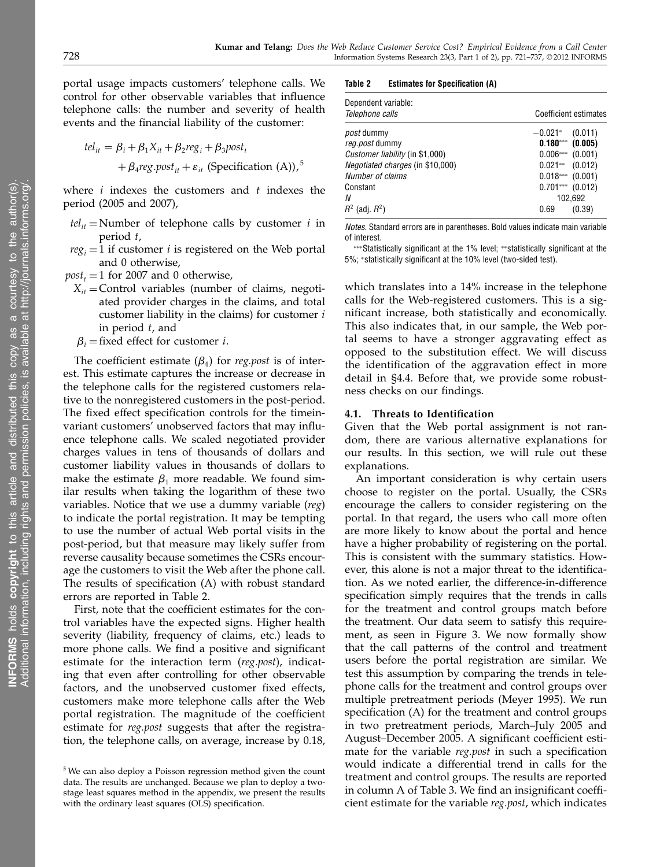portal usage impacts customers' telephone calls. We control for other observable variables that influence telephone calls: the number and severity of health events and the financial liability of the customer:

 $tel_{it} = \beta_i + \beta_1 X_{it} + \beta_2 reg_i + \beta_3 post_t$ +  $\beta_4$ reg. $post_{it} + \varepsilon_{it}$  (Specification (A)),<sup>5</sup>

where  $i$  indexes the customers and  $t$  indexes the period (2005 and 2007),

- $tel_{it}$  = Number of telephone calls by customer *i* in period t,
- $reg_i = 1$  if customer *i* is registered on the Web portal and 0 otherwise,

 $post_t = 1$  for 2007 and 0 otherwise,

- $X_{it}$  = Control variables (number of claims, negotiated provider charges in the claims, and total customer liability in the claims) for customer  $i$ in period t, and
- $\beta_i$  = fixed effect for customer *i*.

The coefficient estimate  $(\beta_4)$  for *reg.post* is of interest. This estimate captures the increase or decrease in the telephone calls for the registered customers relative to the nonregistered customers in the post-period. The fixed effect specification controls for the timeinvariant customers' unobserved factors that may influence telephone calls. We scaled negotiated provider charges values in tens of thousands of dollars and customer liability values in thousands of dollars to make the estimate  $\beta_1$  more readable. We found similar results when taking the logarithm of these two variables. Notice that we use a dummy variable (reg) to indicate the portal registration. It may be tempting to use the number of actual Web portal visits in the post-period, but that measure may likely suffer from reverse causality because sometimes the CSRs encourage the customers to visit the Web after the phone call. The results of specification (A) with robust standard errors are reported in Table 2.

First, note that the coefficient estimates for the control variables have the expected signs. Higher health severity (liability, frequency of claims, etc.) leads to more phone calls. We find a positive and significant estimate for the interaction term (reg.post), indicating that even after controlling for other observable factors, and the unobserved customer fixed effects, customers make more telephone calls after the Web portal registration. The magnitude of the coefficient estimate for reg.post suggests that after the registration, the telephone calls, on average, increase by 0.18,

#### Table 2 Estimates for Specification (A)

| Dependent variable:<br>Telephone calls | Coefficient estimates |
|----------------------------------------|-----------------------|
| post dummy                             | $-0.021*$<br>(0.011)  |
| reg.post dummy                         | $0.180***$<br>(0.005) |
| Customer liability (in \$1,000)        | $0.006***$<br>(0.001) |
| Negotiated charges (in \$10,000)       | $0.021**$<br>(0.012)  |
| Number of claims                       | $0.018***$<br>(0.001) |
| Constant                               | $0.701***$ (0.012)    |
| Ν                                      | 102,692               |
| $R^2$ (adj. $R^2$ )                    | 0.69<br>(0.39)        |

Notes. Standard errors are in parentheses. Bold values indicate main variable of interest.

∗∗∗Statistically significant at the 1% level; ∗∗statistically significant at the 5%; <sup>∗</sup> statistically significant at the 10% level (two-sided test).

which translates into a 14% increase in the telephone calls for the Web-registered customers. This is a significant increase, both statistically and economically. This also indicates that, in our sample, the Web portal seems to have a stronger aggravating effect as opposed to the substitution effect. We will discuss the identification of the aggravation effect in more detail in §4.4. Before that, we provide some robustness checks on our findings.

#### 4.1. Threats to Identification

Given that the Web portal assignment is not random, there are various alternative explanations for our results. In this section, we will rule out these explanations.

An important consideration is why certain users choose to register on the portal. Usually, the CSRs encourage the callers to consider registering on the portal. In that regard, the users who call more often are more likely to know about the portal and hence have a higher probability of registering on the portal. This is consistent with the summary statistics. However, this alone is not a major threat to the identification. As we noted earlier, the difference-in-difference specification simply requires that the trends in calls for the treatment and control groups match before the treatment. Our data seem to satisfy this requirement, as seen in Figure 3. We now formally show that the call patterns of the control and treatment users before the portal registration are similar. We test this assumption by comparing the trends in telephone calls for the treatment and control groups over multiple pretreatment periods (Meyer 1995). We run specification (A) for the treatment and control groups in two pretreatment periods, March–July 2005 and August–December 2005. A significant coefficient estimate for the variable reg.post in such a specification would indicate a differential trend in calls for the treatment and control groups. The results are reported in column A of Table 3. We find an insignificant coefficient estimate for the variable reg.post, which indicates

<sup>&</sup>lt;sup>5</sup> We can also deploy a Poisson regression method given the count data. The results are unchanged. Because we plan to deploy a twostage least squares method in the appendix, we present the results with the ordinary least squares (OLS) specification.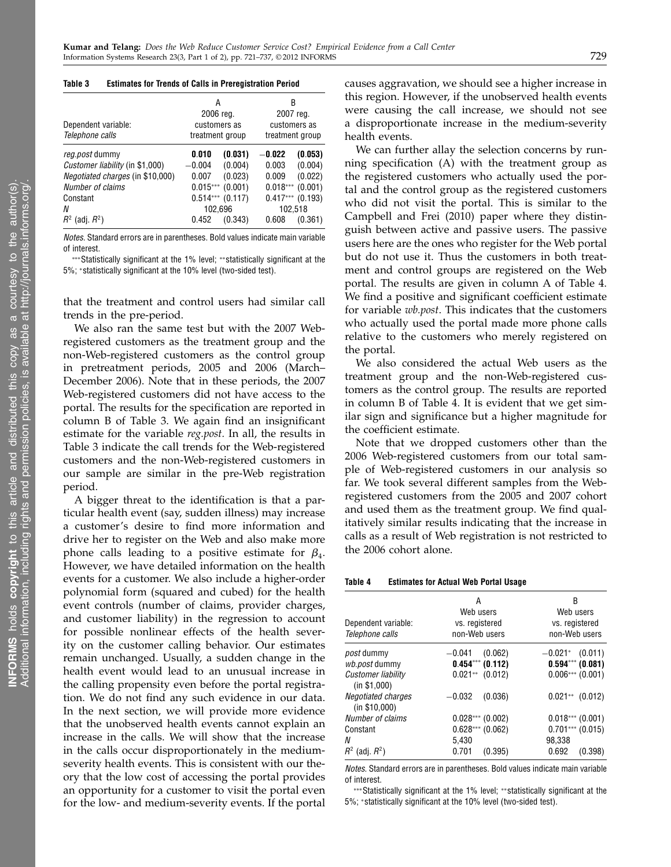Table 3 Estimates for Trends of Calls in Preregistration Period

| Dependent variable:<br>Telephone calls | А<br>2006 reg.<br>customers as<br>treatment group |                    | R<br>2007 reg.<br>customers as<br>treatment group |                    |
|----------------------------------------|---------------------------------------------------|--------------------|---------------------------------------------------|--------------------|
| reg.post dummy                         | 0.010                                             | (0.031)            | $-0.022$                                          | (0.053)            |
| Customer liability (in \$1,000)        | $-0.004$                                          | (0.004)            | 0.003                                             | (0.004)            |
| Negotiated charges (in \$10,000)       | 0.007                                             | (0.023)            | 0.009                                             | (0.022)            |
| Number of claims                       | $0.015***$                                        | (0.001)            | $0.018***$                                        | (0.001)            |
| Constant                               | $0.514***$                                        | (0.117)            | $0.417***$                                        | (0.193)            |
| N<br>$R^2$ (adj. $R^2$ )               | 0.452                                             | 102,696<br>(0.343) | 0.608                                             | 102,518<br>(0.361) |

Notes. Standard errors are in parentheses. Bold values indicate main variable of interest.

∗∗∗Statistically significant at the 1% level; ∗∗statistically significant at the 5%; <sup>∗</sup> statistically significant at the 10% level (two-sided test).

that the treatment and control users had similar call trends in the pre-period.

We also ran the same test but with the 2007 Webregistered customers as the treatment group and the non-Web-registered customers as the control group in pretreatment periods, 2005 and 2006 (March– December 2006). Note that in these periods, the 2007 Web-registered customers did not have access to the portal. The results for the specification are reported in column B of Table 3. We again find an insignificant estimate for the variable reg.post. In all, the results in Table 3 indicate the call trends for the Web-registered customers and the non-Web-registered customers in our sample are similar in the pre-Web registration period.

A bigger threat to the identification is that a particular health event (say, sudden illness) may increase a customer's desire to find more information and drive her to register on the Web and also make more phone calls leading to a positive estimate for  $\beta_4$ . However, we have detailed information on the health events for a customer. We also include a higher-order polynomial form (squared and cubed) for the health event controls (number of claims, provider charges, and customer liability) in the regression to account for possible nonlinear effects of the health severity on the customer calling behavior. Our estimates remain unchanged. Usually, a sudden change in the health event would lead to an unusual increase in the calling propensity even before the portal registration. We do not find any such evidence in our data. In the next section, we will provide more evidence that the unobserved health events cannot explain an increase in the calls. We will show that the increase in the calls occur disproportionately in the mediumseverity health events. This is consistent with our theory that the low cost of accessing the portal provides an opportunity for a customer to visit the portal even for the low- and medium-severity events. If the portal causes aggravation, we should see a higher increase in this region. However, if the unobserved health events were causing the call increase, we should not see a disproportionate increase in the medium-severity health events.

We can further allay the selection concerns by running specification (A) with the treatment group as the registered customers who actually used the portal and the control group as the registered customers who did not visit the portal. This is similar to the Campbell and Frei (2010) paper where they distinguish between active and passive users. The passive users here are the ones who register for the Web portal but do not use it. Thus the customers in both treatment and control groups are registered on the Web portal. The results are given in column A of Table 4. We find a positive and significant coefficient estimate for variable wb.post. This indicates that the customers who actually used the portal made more phone calls relative to the customers who merely registered on the portal.

We also considered the actual Web users as the treatment group and the non-Web-registered customers as the control group. The results are reported in column B of Table 4. It is evident that we get similar sign and significance but a higher magnitude for the coefficient estimate.

Note that we dropped customers other than the 2006 Web-registered customers from our total sample of Web-registered customers in our analysis so far. We took several different samples from the Webregistered customers from the 2005 and 2007 cohort and used them as the treatment group. We find qualitatively similar results indicating that the increase in calls as a result of Web registration is not restricted to the 2006 cohort alone.

## Table 4 Estimates for Actual Web Portal Usage

| А                    | R                    |
|----------------------|----------------------|
| Web users            | Web users            |
| vs. registered       | vs. registered       |
| non-Web users        | non-Web users        |
| (0.062)<br>$-0.041$  | $-0.021*$<br>(0.011) |
| $0.454***$ (0.112)   | $0.594***$ (0.081)   |
| $0.021**$<br>(0.012) | $0.006***(0.001)$    |
| (0.036)<br>$-0.032$  | $0.021**$<br>(0.012) |
| $0.028***$ (0.002)   | $0.018***$ (0.001)   |
| $0.628***$ (0.062)   | $0.701***$ (0.015)   |
| 5,430                | 98,338               |
| 0.701<br>(0.395)     | 0.692<br>(0.398)     |
|                      |                      |

Notes. Standard errors are in parentheses. Bold values indicate main variable of interest.

∗∗∗Statistically significant at the 1% level; ∗∗statistically significant at the 5%; <sup>∗</sup> statistically significant at the 10% level (two-sided test).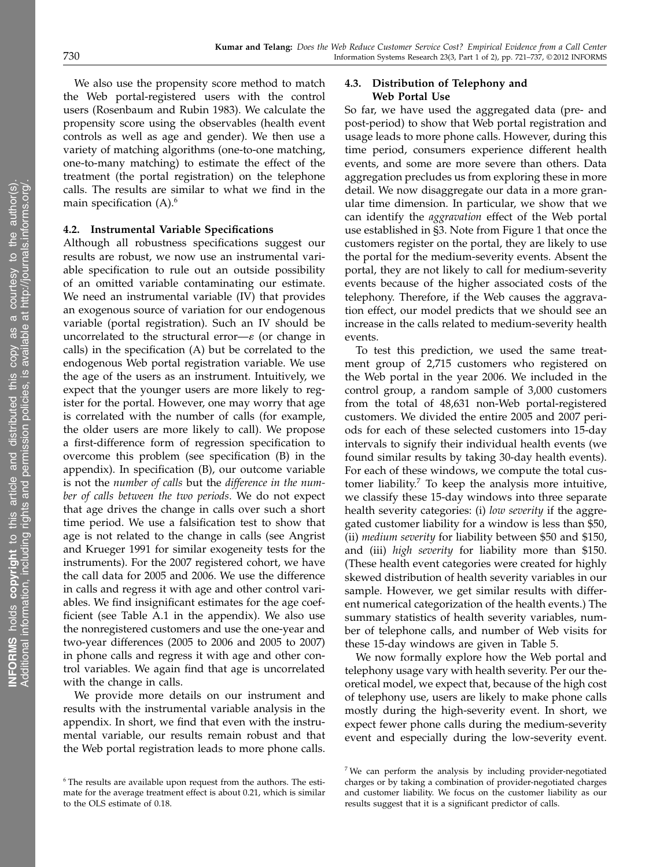We also use the propensity score method to match the Web portal-registered users with the control users (Rosenbaum and Rubin 1983). We calculate the propensity score using the observables (health event controls as well as age and gender). We then use a variety of matching algorithms (one-to-one matching, one-to-many matching) to estimate the effect of the treatment (the portal registration) on the telephone calls. The results are similar to what we find in the main specification  $(A)$ .<sup>6</sup>

#### 4.2. Instrumental Variable Specifications

Although all robustness specifications suggest our results are robust, we now use an instrumental variable specification to rule out an outside possibility of an omitted variable contaminating our estimate. We need an instrumental variable (IV) that provides an exogenous source of variation for our endogenous variable (portal registration). Such an IV should be uncorrelated to the structural error— $\varepsilon$  (or change in calls) in the specification (A) but be correlated to the endogenous Web portal registration variable. We use the age of the users as an instrument. Intuitively, we expect that the younger users are more likely to register for the portal. However, one may worry that age is correlated with the number of calls (for example, the older users are more likely to call). We propose a first-difference form of regression specification to overcome this problem (see specification (B) in the appendix). In specification (B), our outcome variable is not the number of calls but the difference in the number of calls between the two periods. We do not expect that age drives the change in calls over such a short time period. We use a falsification test to show that age is not related to the change in calls (see Angrist and Krueger 1991 for similar exogeneity tests for the instruments). For the 2007 registered cohort, we have the call data for 2005 and 2006. We use the difference in calls and regress it with age and other control variables. We find insignificant estimates for the age coefficient (see Table A.1 in the appendix). We also use the nonregistered customers and use the one-year and two-year differences (2005 to 2006 and 2005 to 2007) in phone calls and regress it with age and other control variables. We again find that age is uncorrelated with the change in calls.

We provide more details on our instrument and results with the instrumental variable analysis in the appendix. In short, we find that even with the instrumental variable, our results remain robust and that the Web portal registration leads to more phone calls.

## 4.3. Distribution of Telephony and Web Portal Use

So far, we have used the aggregated data (pre- and post-period) to show that Web portal registration and usage leads to more phone calls. However, during this time period, consumers experience different health events, and some are more severe than others. Data aggregation precludes us from exploring these in more detail. We now disaggregate our data in a more granular time dimension. In particular, we show that we can identify the aggravation effect of the Web portal use established in §3. Note from Figure 1 that once the customers register on the portal, they are likely to use the portal for the medium-severity events. Absent the portal, they are not likely to call for medium-severity events because of the higher associated costs of the telephony. Therefore, if the Web causes the aggravation effect, our model predicts that we should see an increase in the calls related to medium-severity health events.

To test this prediction, we used the same treatment group of 2,715 customers who registered on the Web portal in the year 2006. We included in the control group, a random sample of 3,000 customers from the total of 48,631 non-Web portal-registered customers. We divided the entire 2005 and 2007 periods for each of these selected customers into 15-day intervals to signify their individual health events (we found similar results by taking 30-day health events). For each of these windows, we compute the total customer liability.<sup>7</sup> To keep the analysis more intuitive, we classify these 15-day windows into three separate health severity categories: (i) low severity if the aggregated customer liability for a window is less than \$50, (ii) medium severity for liability between \$50 and \$150, and (iii) high severity for liability more than \$150. (These health event categories were created for highly skewed distribution of health severity variables in our sample. However, we get similar results with different numerical categorization of the health events.) The summary statistics of health severity variables, number of telephone calls, and number of Web visits for these 15-day windows are given in Table 5.

We now formally explore how the Web portal and telephony usage vary with health severity. Per our theoretical model, we expect that, because of the high cost of telephony use, users are likely to make phone calls mostly during the high-severity event. In short, we expect fewer phone calls during the medium-severity event and especially during the low-severity event.

<sup>&</sup>lt;sup>6</sup> The results are available upon request from the authors. The estimate for the average treatment effect is about 0.21, which is similar to the OLS estimate of 0.18.

<sup>&</sup>lt;sup>7</sup> We can perform the analysis by including provider-negotiated charges or by taking a combination of provider-negotiated charges and customer liability. We focus on the customer liability as our results suggest that it is a significant predictor of calls.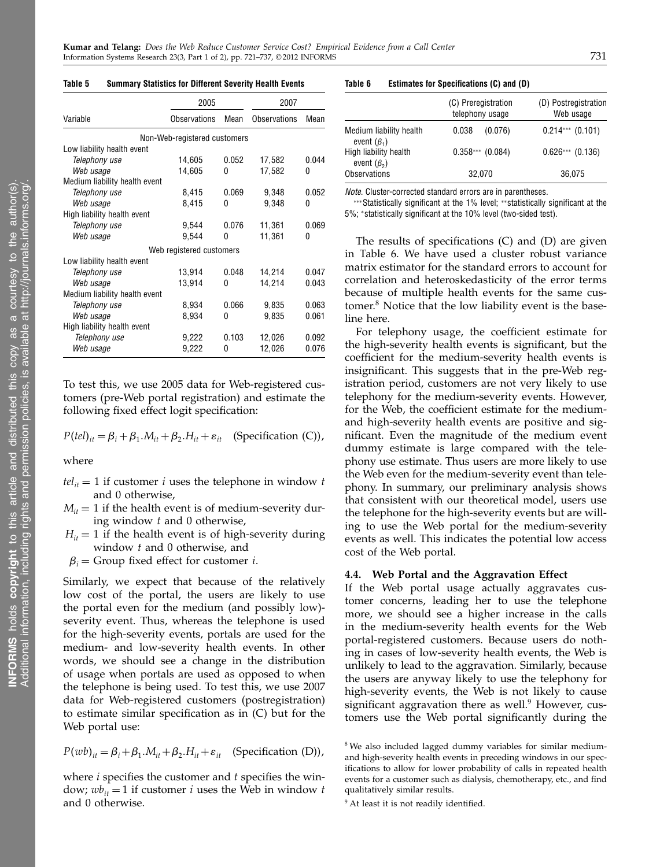|                               | 2005                         |       | 2007         |       |  |
|-------------------------------|------------------------------|-------|--------------|-------|--|
| Variable                      | Observations                 | Mean  | Observations | Mean  |  |
|                               | Non-Web-registered customers |       |              |       |  |
| Low liability health event    |                              |       |              |       |  |
| Telephony use                 | 14,605                       | 0.052 | 17,582       | 0.044 |  |
| Web usage                     | 14,605                       | 0     | 17,582       | 0     |  |
| Medium liability health event |                              |       |              |       |  |
| Telephony use                 | 8,415                        | 0.069 | 9,348        | 0.052 |  |
| Web usage                     | 8,415                        | 0     | 9,348        | 0     |  |
| High liability health event   |                              |       |              |       |  |
| Telephony use                 | 9,544                        | 0.076 | 11,361       | 0.069 |  |
| Web usage                     | 9,544                        | 0     | 11,361       | 0     |  |
|                               | Web registered customers     |       |              |       |  |
| Low liability health event    |                              |       |              |       |  |
| Telephony use                 | 13,914                       | 0.048 | 14,214       | 0.047 |  |
| Web usage                     | 13,914                       | 0     | 14,214       | 0.043 |  |
| Medium liability health event |                              |       |              |       |  |
| Telephony use                 | 8,934                        | 0.066 | 9,835        | 0.063 |  |
| Web usage                     | 8,934                        | 0     | 9,835        | 0.061 |  |
| High liability health event   |                              |       |              |       |  |
| Telephony use                 | 9,222                        | 0.103 | 12,026       | 0.092 |  |
| Web usage                     | 9,222                        | 0     | 12,026       | 0.076 |  |

Table 5 Summary Statistics for Different Severity Health Events

To test this, we use 2005 data for Web-registered customers (pre-Web portal registration) and estimate the following fixed effect logit specification:

$$
P(tel)_{it} = \beta_i + \beta_1.M_{it} + \beta_2.H_{it} + \varepsilon_{it} \quad \text{(Specification (C))},
$$

where

- $tel_{it} = 1$  if customer *i* uses the telephone in window *t* and 0 otherwise,
- $M_{it} = 1$  if the health event is of medium-severity during window t and 0 otherwise,
- $H_{it} = 1$  if the health event is of high-severity during window t and 0 otherwise, and
- $\beta_i$  = Group fixed effect for customer *i*.

Similarly, we expect that because of the relatively low cost of the portal, the users are likely to use the portal even for the medium (and possibly low) severity event. Thus, whereas the telephone is used for the high-severity events, portals are used for the medium- and low-severity health events. In other words, we should see a change in the distribution of usage when portals are used as opposed to when the telephone is being used. To test this, we use 2007 data for Web-registered customers (postregistration) to estimate similar specification as in (C) but for the Web portal use:

 $P(wb)_{it} = \beta_i + \beta_1.M_{it} + \beta_2.H_{it} + \varepsilon_{it}$  (Specification (D)),

where  $i$  specifies the customer and  $t$  specifies the window;  $wb_{it} = 1$  if customer *i* uses the Web in window *t* and 0 otherwise.

Table 6 Estimates for Specifications (C) and (D)

|                                              | (C) Preregistration<br>telephony usage | (D) Postregistration<br>Web usage |
|----------------------------------------------|----------------------------------------|-----------------------------------|
| Medium liability health<br>event $(\beta_1)$ | 0.038<br>(0.076)                       | $0.214***$ (0.101)                |
| High liability health<br>event $(\beta_2)$   | $0.358***$ (0.084)                     | $0.626***$ (0.136)                |
| <b>Observations</b>                          | 32,070                                 | 36,075                            |

Note. Cluster-corrected standard errors are in parentheses.

∗∗∗Statistically significant at the 1% level; ∗∗statistically significant at the 5%; <sup>∗</sup> statistically significant at the 10% level (two-sided test).

The results of specifications (C) and (D) are given in Table 6. We have used a cluster robust variance matrix estimator for the standard errors to account for correlation and heteroskedasticity of the error terms because of multiple health events for the same customer.<sup>8</sup> Notice that the low liability event is the baseline here.

For telephony usage, the coefficient estimate for the high-severity health events is significant, but the coefficient for the medium-severity health events is insignificant. This suggests that in the pre-Web registration period, customers are not very likely to use telephony for the medium-severity events. However, for the Web, the coefficient estimate for the mediumand high-severity health events are positive and significant. Even the magnitude of the medium event dummy estimate is large compared with the telephony use estimate. Thus users are more likely to use the Web even for the medium-severity event than telephony. In summary, our preliminary analysis shows that consistent with our theoretical model, users use the telephone for the high-severity events but are willing to use the Web portal for the medium-severity events as well. This indicates the potential low access cost of the Web portal.

#### 4.4. Web Portal and the Aggravation Effect

If the Web portal usage actually aggravates customer concerns, leading her to use the telephone more, we should see a higher increase in the calls in the medium-severity health events for the Web portal-registered customers. Because users do nothing in cases of low-severity health events, the Web is unlikely to lead to the aggravation. Similarly, because the users are anyway likely to use the telephony for high-severity events, the Web is not likely to cause significant aggravation there as well. $9$  However, customers use the Web portal significantly during the

<sup>8</sup> We also included lagged dummy variables for similar mediumand high-severity health events in preceding windows in our specifications to allow for lower probability of calls in repeated health events for a customer such as dialysis, chemotherapy, etc., and find qualitatively similar results.

<sup>9</sup> At least it is not readily identified.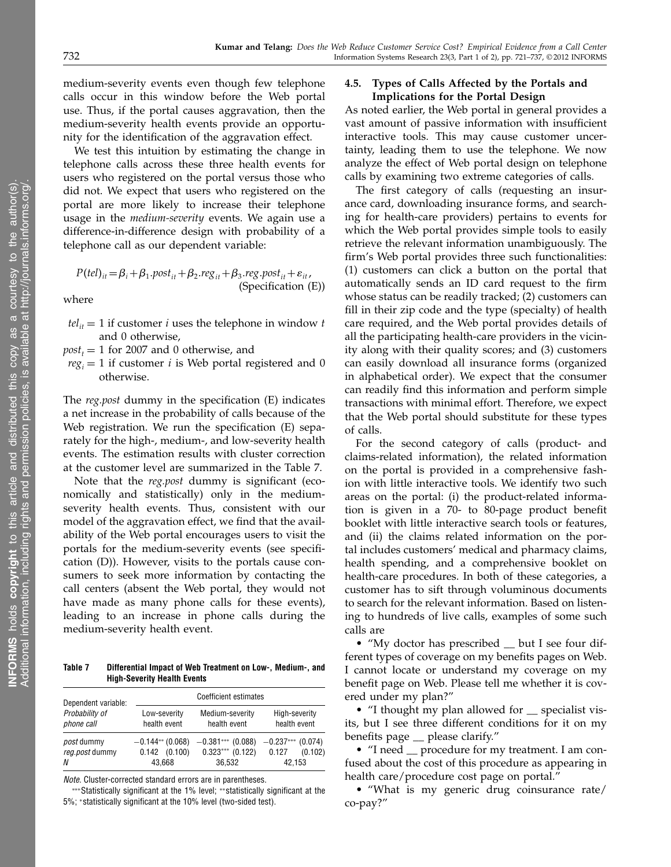medium-severity events even though few telephone calls occur in this window before the Web portal use. Thus, if the portal causes aggravation, then the medium-severity health events provide an opportunity for the identification of the aggravation effect.

We test this intuition by estimating the change in telephone calls across these three health events for users who registered on the portal versus those who did not. We expect that users who registered on the portal are more likely to increase their telephone usage in the medium-severity events. We again use a difference-in-difference design with probability of a telephone call as our dependent variable:

$$
P(tel)_{it} = \beta_i + \beta_1 \cdot post_{it} + \beta_2 \cdot reg_{it} + \beta_3 \cdot reg \cdot post_{it} + \varepsilon_{it},
$$
  
(Specification (E))

where

 $tel_{it} = 1$  if customer *i* uses the telephone in window *t* and 0 otherwise,

 $post_t = 1$  for 2007 and 0 otherwise, and

 $reg_i = 1$  if customer *i* is Web portal registered and 0 otherwise.

The reg.post dummy in the specification (E) indicates a net increase in the probability of calls because of the Web registration. We run the specification (E) separately for the high-, medium-, and low-severity health events. The estimation results with cluster correction at the customer level are summarized in the Table 7.

Note that the reg.post dummy is significant (economically and statistically) only in the mediumseverity health events. Thus, consistent with our model of the aggravation effect, we find that the availability of the Web portal encourages users to visit the portals for the medium-severity events (see specification (D)). However, visits to the portals cause consumers to seek more information by contacting the call centers (absent the Web portal, they would not have made as many phone calls for these events), leading to an increase in phone calls during the medium-severity health event.

Table 7 Differential Impact of Web Treatment on Low-, Medium-, and High-Severity Health Events

| Dependent variable:          | Coefficient estimates                  |                                           |                                         |  |  |
|------------------------------|----------------------------------------|-------------------------------------------|-----------------------------------------|--|--|
| Probability of<br>phone call | Low-severity<br>health event           | Medium-severity<br>health event           | High-severity<br>health event           |  |  |
| post dummy<br>reg.post dummy | $-0.144**$ (0.068)<br>(0.100)<br>0.142 | $-0.381***$ (0.088)<br>$0.323***$ (0.122) | $-0.237***$ (0.074)<br>0.127<br>(0.102) |  |  |
| N                            | 43.668                                 | 36.532                                    | 42.153                                  |  |  |

Note. Cluster-corrected standard errors are in parentheses.

∗∗∗Statistically significant at the 1% level; ∗∗statistically significant at the 5%; <sup>∗</sup> statistically significant at the 10% level (two-sided test).

## 4.5. Types of Calls Affected by the Portals and Implications for the Portal Design

As noted earlier, the Web portal in general provides a vast amount of passive information with insufficient interactive tools. This may cause customer uncertainty, leading them to use the telephone. We now analyze the effect of Web portal design on telephone calls by examining two extreme categories of calls.

The first category of calls (requesting an insurance card, downloading insurance forms, and searching for health-care providers) pertains to events for which the Web portal provides simple tools to easily retrieve the relevant information unambiguously. The firm's Web portal provides three such functionalities: (1) customers can click a button on the portal that automatically sends an ID card request to the firm whose status can be readily tracked; (2) customers can fill in their zip code and the type (specialty) of health care required, and the Web portal provides details of all the participating health-care providers in the vicinity along with their quality scores; and (3) customers can easily download all insurance forms (organized in alphabetical order). We expect that the consumer can readily find this information and perform simple transactions with minimal effort. Therefore, we expect that the Web portal should substitute for these types of calls.

For the second category of calls (product- and claims-related information), the related information on the portal is provided in a comprehensive fashion with little interactive tools. We identify two such areas on the portal: (i) the product-related information is given in a 70- to 80-page product benefit booklet with little interactive search tools or features, and (ii) the claims related information on the portal includes customers' medical and pharmacy claims, health spending, and a comprehensive booklet on health-care procedures. In both of these categories, a customer has to sift through voluminous documents to search for the relevant information. Based on listening to hundreds of live calls, examples of some such calls are

• "My doctor has prescribed \_\_ but I see four different types of coverage on my benefits pages on Web. I cannot locate or understand my coverage on my benefit page on Web. Please tell me whether it is covered under my plan?"

• "I thought my plan allowed for \_\_ specialist visits, but I see three different conditions for it on my benefits page \_\_ please clarify."

• "I need \_\_ procedure for my treatment. I am confused about the cost of this procedure as appearing in health care/procedure cost page on portal."

• "What is my generic drug coinsurance rate/ co-pay?"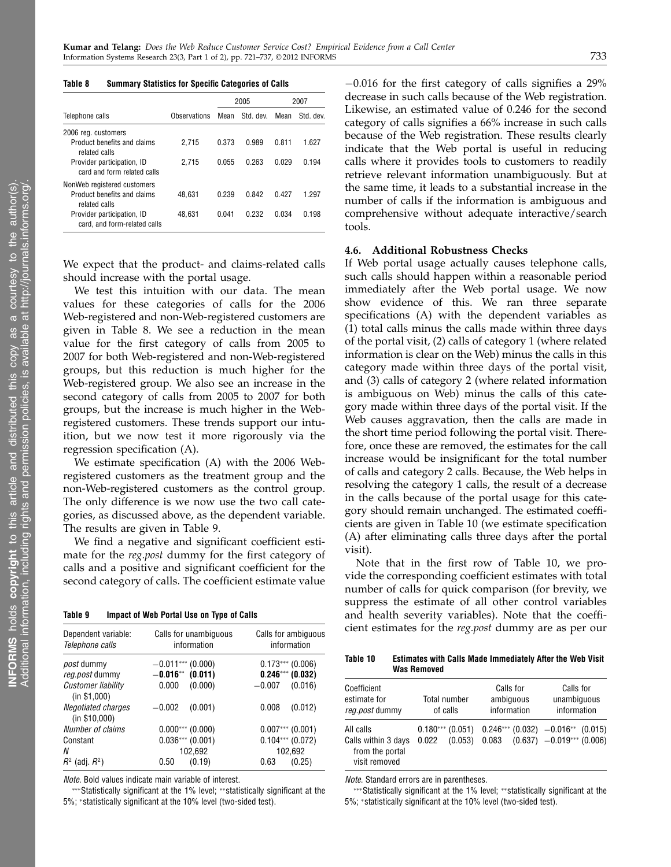Table 8 Summary Statistics for Specific Categories of Calls

|                                                            |              |       | 2005      |       | 2007      |
|------------------------------------------------------------|--------------|-------|-----------|-------|-----------|
| Telephone calls                                            | Observations | Mean  | Std. dev. | Mean  | Std. dev. |
| 2006 reg. customers                                        |              |       |           |       |           |
| Product benefits and claims<br>related calls               | 2.715        | 0.373 | 0.989     | 0.811 | 1.627     |
| Provider participation, ID<br>card and form related calls  | 2.715        | 0.055 | 0.263     | 0.029 | 0.194     |
| NonWeb registered customers                                |              |       |           |       |           |
| Product benefits and claims<br>related calls               | 48.631       | 0.239 | 0.842     | 0.427 | 1 297     |
| Provider participation, ID<br>card, and form-related calls | 48.631       | 0.041 | 0.232     | 0.034 | 0 198     |

We expect that the product- and claims-related calls should increase with the portal usage.

We test this intuition with our data. The mean values for these categories of calls for the 2006 Web-registered and non-Web-registered customers are given in Table 8. We see a reduction in the mean value for the first category of calls from 2005 to 2007 for both Web-registered and non-Web-registered groups, but this reduction is much higher for the Web-registered group. We also see an increase in the second category of calls from 2005 to 2007 for both groups, but the increase is much higher in the Webregistered customers. These trends support our intuition, but we now test it more rigorously via the regression specification (A).

We estimate specification (A) with the 2006 Webregistered customers as the treatment group and the non-Web-registered customers as the control group. The only difference is we now use the two call categories, as discussed above, as the dependent variable. The results are given in Table 9.

We find a negative and significant coefficient estimate for the reg.post dummy for the first category of calls and a positive and significant coefficient for the second category of calls. The coefficient estimate value

Table 9 Impact of Web Portal Use on Type of Calls

| Dependent variable:<br>Telephone calls     | Calls for unambiguous<br>information | Calls for ambiguous<br>information |
|--------------------------------------------|--------------------------------------|------------------------------------|
| <i>post</i> dummy                          | $-0.011***$ (0.000)                  | $0.173***$ (0.006)                 |
| reg.post dummy                             | $-0.016^{\ast\ast}$<br>(0.011)       | $0.246***$ (0.032)                 |
| Customer liability<br>(in \$1,000)         | 0.000<br>(0.000)                     | $-0.007$<br>(0.016)                |
| <b>Negotiated charges</b><br>(in \$10,000) | $-0.002$<br>(0.001)                  | 0.008<br>(0.012)                   |
| Number of claims                           | $0.000***(0.000)$                    | $0.007***$ (0.001)                 |
| Constant                                   | $0.036***(0.001)$                    | $0.104***$ (0.072)                 |
| N                                          | 102,692                              | 102,692                            |
| $R^2$ (adj. $R^2$ )                        | (0.19)<br>0.50                       | (0.25)<br>0.63                     |

Note. Bold values indicate main variable of interest.

∗∗∗Statistically significant at the 1% level; ∗∗statistically significant at the 5%; <sup>∗</sup> statistically significant at the 10% level (two-sided test).

−0.016 for the first category of calls signifies a 29% decrease in such calls because of the Web registration. Likewise, an estimated value of 0.246 for the second category of calls signifies a 66% increase in such calls because of the Web registration. These results clearly indicate that the Web portal is useful in reducing calls where it provides tools to customers to readily retrieve relevant information unambiguously. But at the same time, it leads to a substantial increase in the number of calls if the information is ambiguous and comprehensive without adequate interactive/search tools.

#### 4.6. Additional Robustness Checks

If Web portal usage actually causes telephone calls, such calls should happen within a reasonable period immediately after the Web portal usage. We now show evidence of this. We ran three separate specifications (A) with the dependent variables as (1) total calls minus the calls made within three days of the portal visit, (2) calls of category 1 (where related information is clear on the Web) minus the calls in this category made within three days of the portal visit, and (3) calls of category 2 (where related information is ambiguous on Web) minus the calls of this category made within three days of the portal visit. If the Web causes aggravation, then the calls are made in the short time period following the portal visit. Therefore, once these are removed, the estimates for the call increase would be insignificant for the total number of calls and category 2 calls. Because, the Web helps in resolving the category 1 calls, the result of a decrease in the calls because of the portal usage for this category should remain unchanged. The estimated coefficients are given in Table 10 (we estimate specification (A) after eliminating calls three days after the portal visit).

Note that in the first row of Table 10, we provide the corresponding coefficient estimates with total number of calls for quick comparison (for brevity, we suppress the estimate of all other control variables and health severity variables). Note that the coefficient estimates for the reg.post dummy are as per our

Table 10 Estimates with Calls Made Immediately After the Web Visit Was Removed

| Coefficient<br>estimate for                             | Total number |                    | Calls for<br>ambiguous |             | Calls for<br>unambiguous              |  |
|---------------------------------------------------------|--------------|--------------------|------------------------|-------------|---------------------------------------|--|
| reg.post dummy                                          |              | of calls           |                        | information | information                           |  |
| All calls                                               |              | $0.180***$ (0.051) |                        |             | $0.246***$ (0.032) $-0.016**$ (0.015) |  |
| Calls within 3 days<br>from the portal<br>visit removed | 0.022        | (0.053)            | 0.083                  |             | $(0.637)$ -0.019*** (0.006)           |  |

Note. Standard errors are in parentheses.

∗∗∗Statistically significant at the 1% level; ∗∗statistically significant at the 5%; <sup>∗</sup> statistically significant at the 10% level (two-sided test).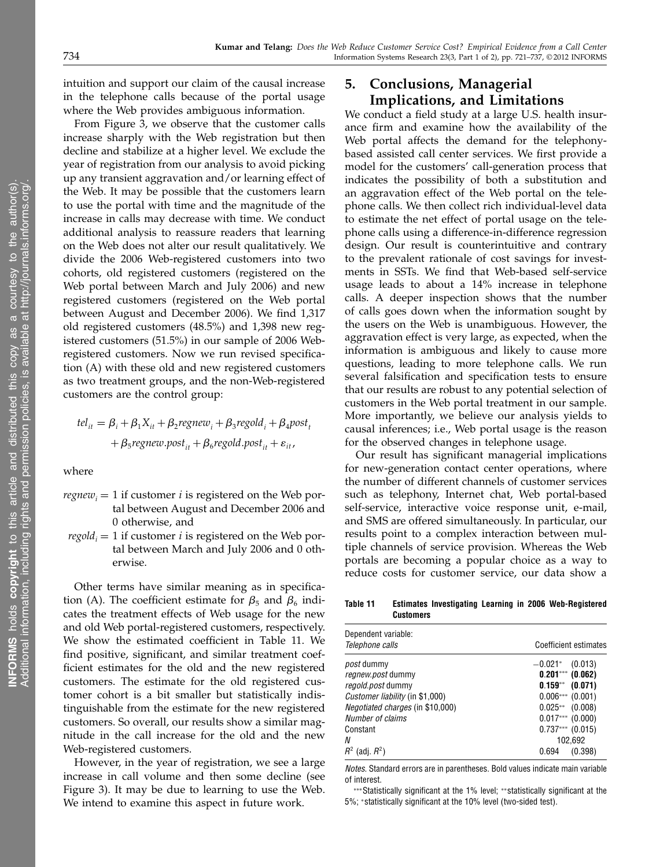intuition and support our claim of the causal increase in the telephone calls because of the portal usage where the Web provides ambiguous information.

From Figure 3, we observe that the customer calls increase sharply with the Web registration but then decline and stabilize at a higher level. We exclude the year of registration from our analysis to avoid picking up any transient aggravation and/or learning effect of the Web. It may be possible that the customers learn to use the portal with time and the magnitude of the increase in calls may decrease with time. We conduct additional analysis to reassure readers that learning on the Web does not alter our result qualitatively. We divide the 2006 Web-registered customers into two cohorts, old registered customers (registered on the Web portal between March and July 2006) and new registered customers (registered on the Web portal between August and December 2006). We find 1,317 old registered customers (48.5%) and 1,398 new registered customers (51.5%) in our sample of 2006 Webregistered customers. Now we run revised specification (A) with these old and new registered customers as two treatment groups, and the non-Web-registered customers are the control group:

$$
tel_{it} = \beta_i + \beta_1 X_{it} + \beta_2 regnew_i + \beta_3 regold_i + \beta_4 post_t + \beta_5 regnew.post_{it} + \beta_6 regold.post_{it} + \varepsilon_{it},
$$

where

- $regnew_i = 1$  if customer *i* is registered on the Web portal between August and December 2006 and 0 otherwise, and
- $regold_i = 1$  if customer *i* is registered on the Web portal between March and July 2006 and 0 otherwise.

Other terms have similar meaning as in specification (A). The coefficient estimate for  $\beta_5$  and  $\beta_6$  indicates the treatment effects of Web usage for the new and old Web portal-registered customers, respectively. We show the estimated coefficient in Table 11. We find positive, significant, and similar treatment coefficient estimates for the old and the new registered customers. The estimate for the old registered customer cohort is a bit smaller but statistically indistinguishable from the estimate for the new registered customers. So overall, our results show a similar magnitude in the call increase for the old and the new Web-registered customers.

However, in the year of registration, we see a large increase in call volume and then some decline (see Figure 3). It may be due to learning to use the Web. We intend to examine this aspect in future work.

# 5. Conclusions, Managerial Implications, and Limitations

We conduct a field study at a large U.S. health insurance firm and examine how the availability of the Web portal affects the demand for the telephonybased assisted call center services. We first provide a model for the customers' call-generation process that indicates the possibility of both a substitution and an aggravation effect of the Web portal on the telephone calls. We then collect rich individual-level data to estimate the net effect of portal usage on the telephone calls using a difference-in-difference regression design. Our result is counterintuitive and contrary to the prevalent rationale of cost savings for investments in SSTs. We find that Web-based self-service usage leads to about a 14% increase in telephone calls. A deeper inspection shows that the number of calls goes down when the information sought by the users on the Web is unambiguous. However, the aggravation effect is very large, as expected, when the information is ambiguous and likely to cause more questions, leading to more telephone calls. We run several falsification and specification tests to ensure that our results are robust to any potential selection of customers in the Web portal treatment in our sample. More importantly, we believe our analysis yields to causal inferences; i.e., Web portal usage is the reason for the observed changes in telephone usage.

Our result has significant managerial implications for new-generation contact center operations, where the number of different channels of customer services such as telephony, Internet chat, Web portal-based self-service, interactive voice response unit, e-mail, and SMS are offered simultaneously. In particular, our results point to a complex interaction between multiple channels of service provision. Whereas the Web portals are becoming a popular choice as a way to reduce costs for customer service, our data show a

Table 11 Estimates Investigating Learning in 2006 Web-Registered Customers

| Dependent variable:<br>Telephone calls  | Coefficient estimates |
|-----------------------------------------|-----------------------|
| <i>post</i> dummy                       | $-0.021*$<br>(0.013)  |
| regnew.post dummy                       | $0.201***$<br>(0.062) |
| regold.post dummy                       | $0.159***$<br>(0.071) |
| Customer liability (in \$1,000)         | $0.006***$ (0.001)    |
| <i>Negotiated charges (in \$10,000)</i> | $0.025**$<br>(0.008)  |
| Number of claims                        | $0.017***$ (0.000)    |
| Constant                                | $0.737***$ (0.015)    |
| N                                       | 102,692               |
| $R^2$<br>(adj. $R^2$ )                  | (0.398)<br>0.694      |

Notes. Standard errors are in parentheses. Bold values indicate main variable of interest.

∗∗∗Statistically significant at the 1% level; ∗∗statistically significant at the 5%; <sup>∗</sup> statistically significant at the 10% level (two-sided test).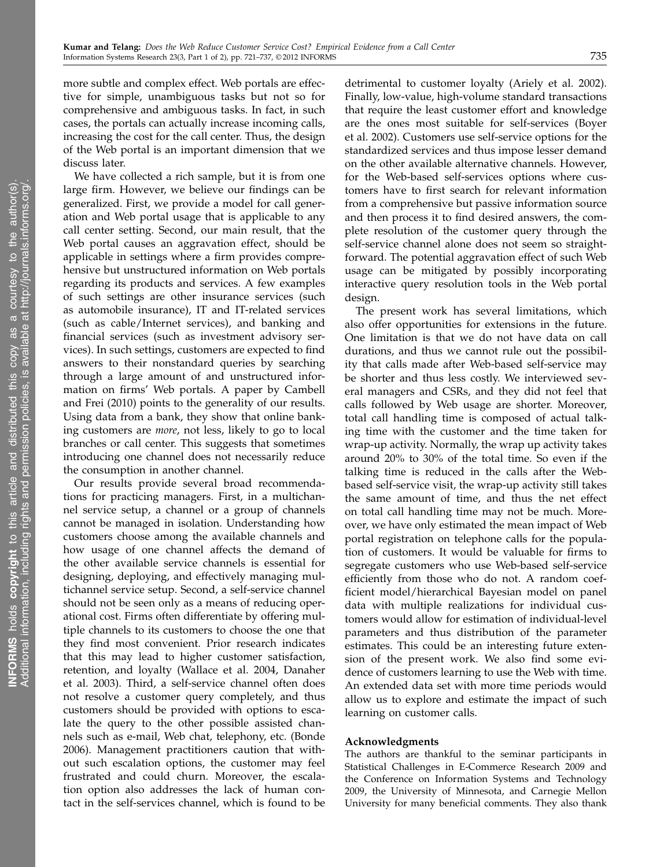more subtle and complex effect. Web portals are effective for simple, unambiguous tasks but not so for comprehensive and ambiguous tasks. In fact, in such cases, the portals can actually increase incoming calls, increasing the cost for the call center. Thus, the design of the Web portal is an important dimension that we discuss later.

We have collected a rich sample, but it is from one large firm. However, we believe our findings can be generalized. First, we provide a model for call generation and Web portal usage that is applicable to any call center setting. Second, our main result, that the Web portal causes an aggravation effect, should be applicable in settings where a firm provides comprehensive but unstructured information on Web portals regarding its products and services. A few examples of such settings are other insurance services (such as automobile insurance), IT and IT-related services (such as cable/Internet services), and banking and financial services (such as investment advisory services). In such settings, customers are expected to find answers to their nonstandard queries by searching through a large amount of and unstructured information on firms' Web portals. A paper by Cambell and Frei (2010) points to the generality of our results. Using data from a bank, they show that online banking customers are more, not less, likely to go to local branches or call center. This suggests that sometimes introducing one channel does not necessarily reduce the consumption in another channel.

Our results provide several broad recommendations for practicing managers. First, in a multichannel service setup, a channel or a group of channels cannot be managed in isolation. Understanding how customers choose among the available channels and how usage of one channel affects the demand of the other available service channels is essential for designing, deploying, and effectively managing multichannel service setup. Second, a self-service channel should not be seen only as a means of reducing operational cost. Firms often differentiate by offering multiple channels to its customers to choose the one that they find most convenient. Prior research indicates that this may lead to higher customer satisfaction, retention, and loyalty (Wallace et al. 2004, Danaher et al. 2003). Third, a self-service channel often does not resolve a customer query completely, and thus customers should be provided with options to escalate the query to the other possible assisted channels such as e-mail, Web chat, telephony, etc. (Bonde 2006). Management practitioners caution that without such escalation options, the customer may feel frustrated and could churn. Moreover, the escalation option also addresses the lack of human contact in the self-services channel, which is found to be

detrimental to customer loyalty (Ariely et al. 2002). Finally, low-value, high-volume standard transactions that require the least customer effort and knowledge are the ones most suitable for self-services (Boyer et al. 2002). Customers use self-service options for the standardized services and thus impose lesser demand on the other available alternative channels. However, for the Web-based self-services options where customers have to first search for relevant information from a comprehensive but passive information source and then process it to find desired answers, the complete resolution of the customer query through the self-service channel alone does not seem so straightforward. The potential aggravation effect of such Web usage can be mitigated by possibly incorporating interactive query resolution tools in the Web portal design.

The present work has several limitations, which also offer opportunities for extensions in the future. One limitation is that we do not have data on call durations, and thus we cannot rule out the possibility that calls made after Web-based self-service may be shorter and thus less costly. We interviewed several managers and CSRs, and they did not feel that calls followed by Web usage are shorter. Moreover, total call handling time is composed of actual talking time with the customer and the time taken for wrap-up activity. Normally, the wrap up activity takes around 20% to 30% of the total time. So even if the talking time is reduced in the calls after the Webbased self-service visit, the wrap-up activity still takes the same amount of time, and thus the net effect on total call handling time may not be much. Moreover, we have only estimated the mean impact of Web portal registration on telephone calls for the population of customers. It would be valuable for firms to segregate customers who use Web-based self-service efficiently from those who do not. A random coefficient model/hierarchical Bayesian model on panel data with multiple realizations for individual customers would allow for estimation of individual-level parameters and thus distribution of the parameter estimates. This could be an interesting future extension of the present work. We also find some evidence of customers learning to use the Web with time. An extended data set with more time periods would allow us to explore and estimate the impact of such learning on customer calls.

## Acknowledgments

The authors are thankful to the seminar participants in Statistical Challenges in E-Commerce Research 2009 and the Conference on Information Systems and Technology 2009, the University of Minnesota, and Carnegie Mellon University for many beneficial comments. They also thank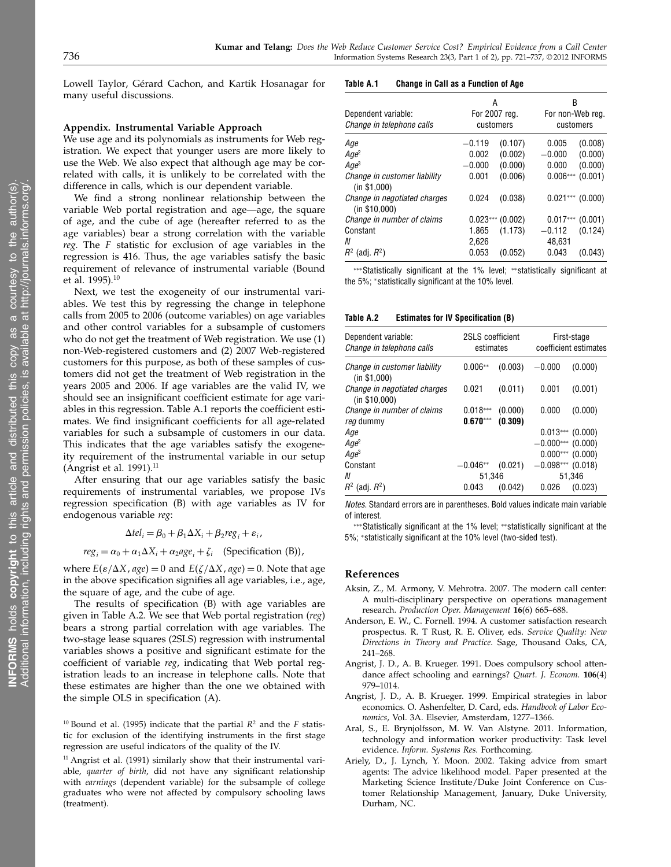Lowell Taylor, Gérard Cachon, and Kartik Hosanagar for many useful discussions.

#### Appendix. Instrumental Variable Approach

We use age and its polynomials as instruments for Web registration. We expect that younger users are more likely to use the Web. We also expect that although age may be correlated with calls, it is unlikely to be correlated with the difference in calls, which is our dependent variable.

We find a strong nonlinear relationship between the variable Web portal registration and age—age, the square of age, and the cube of age (hereafter referred to as the age variables) bear a strong correlation with the variable  $reg.$  The  $F$  statistic for exclusion of age variables in the regression is 416. Thus, the age variables satisfy the basic requirement of relevance of instrumental variable (Bound et al. 1995).<sup>10</sup>

Next, we test the exogeneity of our instrumental variables. We test this by regressing the change in telephone calls from 2005 to 2006 (outcome variables) on age variables and other control variables for a subsample of customers who do not get the treatment of Web registration. We use (1) non-Web-registered customers and (2) 2007 Web-registered customers for this purpose, as both of these samples of customers did not get the treatment of Web registration in the years 2005 and 2006. If age variables are the valid IV, we should see an insignificant coefficient estimate for age variables in this regression. Table A.1 reports the coefficient estimates. We find insignificant coefficients for all age-related variables for such a subsample of customers in our data. This indicates that the age variables satisfy the exogeneity requirement of the instrumental variable in our setup (Angrist et al. 1991).<sup>11</sup>

After ensuring that our age variables satisfy the basic requirements of instrumental variables, we propose IVs regression specification (B) with age variables as IV for endogenous variable reg:

 $\Delta t el_i = \beta_0 + \beta_1 \Delta X_i + \beta_2 reg_i + \varepsilon_i,$ 

 $reg_i = \alpha_0 + \alpha_1 \Delta X_i + \alpha_2 age_i + \zeta_i$  (Specification (B)),

where  $E(\varepsilon/\Delta X, age) = 0$  and  $E(\zeta/\Delta X, age) = 0$ . Note that age in the above specification signifies all age variables, i.e., age, the square of age, and the cube of age.

The results of specification (B) with age variables are given in Table A.2. We see that Web portal registration (reg) bears a strong partial correlation with age variables. The two-stage lease squares (2SLS) regression with instrumental variables shows a positive and significant estimate for the coefficient of variable reg, indicating that Web portal registration leads to an increase in telephone calls. Note that these estimates are higher than the one we obtained with the simple OLS in specification (A).

 $^{10}$  Bound et al. (1995) indicate that the partial  $R^2$  and the F statistic for exclusion of the identifying instruments in the first stage regression are useful indicators of the quality of the IV.

 $11$  Angrist et al. (1991) similarly show that their instrumental variable, quarter of birth, did not have any significant relationship with earnings (dependent variable) for the subsample of college graduates who were not affected by compulsory schooling laws (treatment).

## Table A.1 Change in Call as a Function of Age

| Dependent variable:<br>Change in telephone calls | А<br>For 2007 reg.<br>customers |         |                    | R<br>For non-Web reg.<br>customers |  |
|--------------------------------------------------|---------------------------------|---------|--------------------|------------------------------------|--|
| Age                                              | $-0.119$                        | (0.107) | 0.005              | (0.008)                            |  |
| Age <sup>2</sup>                                 | 0.002                           | (0.002) | $-0.000$           | (0.000)                            |  |
| Аае <sup>з</sup>                                 | $-0.000$                        | (0.000) | 0.000              | (0.000)                            |  |
| Change in customer liability<br>(in \$1,000)     | 0.001                           | (0.006) | $0.006***$         | (0.001)                            |  |
| Change in negotiated charges<br>(in \$10,000)    | 0.024                           | (0.038) | $0.021***$         | (0.000)                            |  |
| Change in number of claims                       | $0.023***$ (0.002)              |         | $0.017***$         | (0.001)                            |  |
| Constant<br>Ν                                    | 1.865<br>2,626                  | (1.173) | $-0.112$<br>48.631 | (0.124)                            |  |
| $R^2$ (adj. $R^2$ )                              | 0.053                           | (0.052) | 0.043              | (0.043)                            |  |

∗∗∗Statistically significant at the 1% level; ∗∗statistically significant at the 5%; <sup>∗</sup> statistically significant at the 10% level.

#### Table A.2 Estimates for IV Specification (B)

| Dependent variable:<br>Change in telephone calls | 2SLS coefficient<br>estimates | First-stage<br>coefficient estimates |                    |         |
|--------------------------------------------------|-------------------------------|--------------------------------------|--------------------|---------|
| Change in customer liability<br>(in \$1,000)     | $0.006**$                     | (0.003)                              | $-0.000$           | (0.000) |
| Change in negotiated charges<br>(in \$10,000)    | 0.021                         | (0.011)                              | 0.001              | (0.001) |
| Change in number of claims<br>reg dummy          | $0.018***$<br>$0.670***$      | (0.000)<br>(0.309)                   | 0.000              | (0.000) |
| Age                                              |                               |                                      | $0.013***$ (0.000) |         |
| Age <sup>2</sup>                                 |                               |                                      | $-0.000***$        | (0.000) |
| Аае <sup>з</sup>                                 |                               |                                      | $0.000***$ (0.000) |         |
| Constant                                         | $-0.046**$                    | (0.021)                              | $-0.098***$        | (0.018) |
| Ν                                                | 51.346                        |                                      |                    | 51.346  |
| $R^2$ (adj. $R^2$ )                              | 0.043                         | (0.042)                              | 0.026              | (0.023) |

Notes. Standard errors are in parentheses. Bold values indicate main variable of interest.

∗∗∗Statistically significant at the 1% level; ∗∗statistically significant at the 5%; <sup>∗</sup> statistically significant at the 10% level (two-sided test).

#### References

- Aksin, Z., M. Armony, V. Mehrotra. 2007. The modern call center: A multi-disciplinary perspective on operations management research. Production Oper. Management 16(6) 665–688.
- Anderson, E. W., C. Fornell. 1994. A customer satisfaction research prospectus. R. T Rust, R. E. Oliver, eds. Service Quality: New Directions in Theory and Practice. Sage, Thousand Oaks, CA, 241–268.
- Angrist, J. D., A. B. Krueger. 1991. Does compulsory school attendance affect schooling and earnings? Quart. J. Econom. 106(4) 979–1014.
- Angrist, J. D., A. B. Krueger. 1999. Empirical strategies in labor economics. O. Ashenfelter, D. Card, eds. Handbook of Labor Economics, Vol. 3A. Elsevier, Amsterdam, 1277–1366.
- Aral, S., E. Brynjolfsson, M. W. Van Alstyne. 2011. Information, technology and information worker productivity: Task level evidence. Inform. Systems Res. Forthcoming.
- Ariely, D., J. Lynch, Y. Moon. 2002. Taking advice from smart agents: The advice likelihood model. Paper presented at the Marketing Science Institute/Duke Joint Conference on Customer Relationship Management, January, Duke University, Durham, NC.